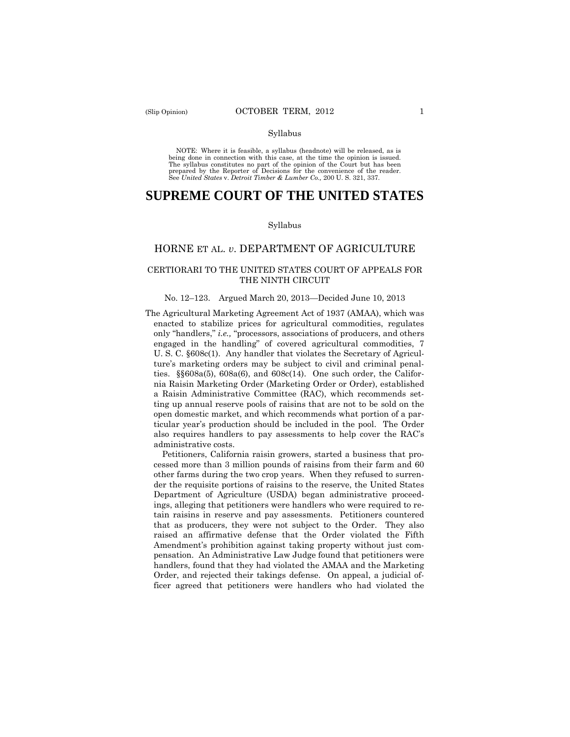#### Syllabus

 NOTE: Where it is feasible, a syllabus (headnote) will be released, as is being done in connection with this case, at the time the opinion is issued. The syllabus constitutes no part of the opinion of the Court but has been<br>prepared by the Reporter of Decisions for the convenience of the reader.<br>See United States v. Detroit Timber & Lumber Co., 200 U.S. 321, 337.

# **SUPREME COURT OF THE UNITED STATES**

#### Syllabus

### HORNE ET AL. *v*. DEPARTMENT OF AGRICULTURE

### CERTIORARI TO THE UNITED STATES COURT OF APPEALS FOR THE NINTH CIRCUIT

#### No. 12–123. Argued March 20, 2013—Decided June 10, 2013

The Agricultural Marketing Agreement Act of 1937 (AMAA), which was enacted to stabilize prices for agricultural commodities, regulates only "handlers," *i.e.,* "processors, associations of producers, and others engaged in the handling" of covered agricultural commodities, 7 U. S. C. §608c(1). Any handler that violates the Secretary of Agriculture's marketing orders may be subject to civil and criminal penalties. §§608a(5), 608a(6), and 608c(14). One such order, the California Raisin Marketing Order (Marketing Order or Order), established a Raisin Administrative Committee (RAC), which recommends setting up annual reserve pools of raisins that are not to be sold on the open domestic market, and which recommends what portion of a particular year's production should be included in the pool. The Order also requires handlers to pay assessments to help cover the RAC's administrative costs.

Petitioners, California raisin growers, started a business that processed more than 3 million pounds of raisins from their farm and 60 other farms during the two crop years. When they refused to surrender the requisite portions of raisins to the reserve, the United States Department of Agriculture (USDA) began administrative proceedings, alleging that petitioners were handlers who were required to retain raisins in reserve and pay assessments. Petitioners countered that as producers, they were not subject to the Order. They also raised an affirmative defense that the Order violated the Fifth Amendment's prohibition against taking property without just compensation. An Administrative Law Judge found that petitioners were handlers, found that they had violated the AMAA and the Marketing Order, and rejected their takings defense. On appeal, a judicial officer agreed that petitioners were handlers who had violated the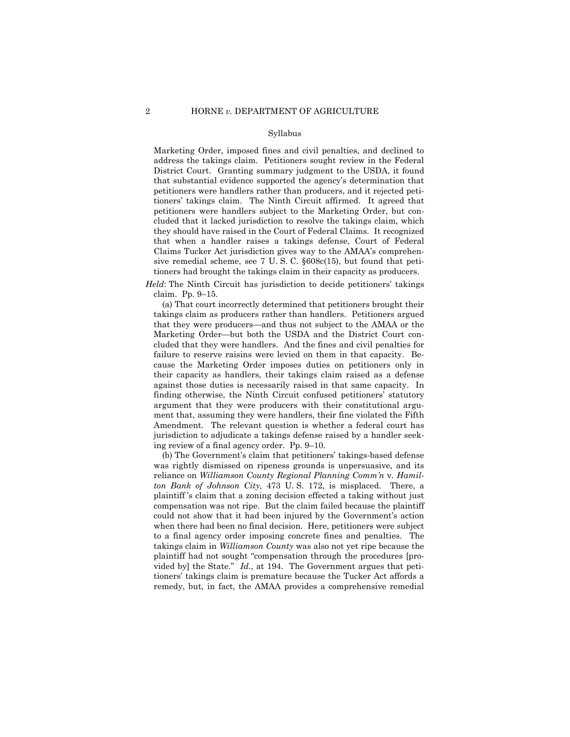#### Syllabus

Marketing Order, imposed fines and civil penalties, and declined to address the takings claim. Petitioners sought review in the Federal District Court. Granting summary judgment to the USDA, it found that substantial evidence supported the agency's determination that petitioners were handlers rather than producers, and it rejected petitioners' takings claim. The Ninth Circuit affirmed. It agreed that petitioners were handlers subject to the Marketing Order, but concluded that it lacked jurisdiction to resolve the takings claim, which they should have raised in the Court of Federal Claims. It recognized that when a handler raises a takings defense, Court of Federal Claims Tucker Act jurisdiction gives way to the AMAA's comprehensive remedial scheme, see 7 U. S. C. §608c(15), but found that petitioners had brought the takings claim in their capacity as producers.

*Held*: The Ninth Circuit has jurisdiction to decide petitioners' takings claim. Pp. 9–15.

(a) That court incorrectly determined that petitioners brought their takings claim as producers rather than handlers. Petitioners argued that they were producers—and thus not subject to the AMAA or the Marketing Order—but both the USDA and the District Court concluded that they were handlers. And the fines and civil penalties for failure to reserve raisins were levied on them in that capacity. Because the Marketing Order imposes duties on petitioners only in their capacity as handlers, their takings claim raised as a defense against those duties is necessarily raised in that same capacity. In finding otherwise, the Ninth Circuit confused petitioners' statutory argument that they were producers with their constitutional argument that, assuming they were handlers, their fine violated the Fifth Amendment. The relevant question is whether a federal court has jurisdiction to adjudicate a takings defense raised by a handler seeking review of a final agency order. Pp. 9–10.

(b) The Government's claim that petitioners' takings-based defense was rightly dismissed on ripeness grounds is unpersuasive, and its reliance on *Williamson County Regional Planning Comm'n* v*. Hamilton Bank of Johnson City,* 473 U. S. 172, is misplaced. There, a plaintiff 's claim that a zoning decision effected a taking without just compensation was not ripe. But the claim failed because the plaintiff could not show that it had been injured by the Government's action when there had been no final decision. Here, petitioners were subject to a final agency order imposing concrete fines and penalties. The takings claim in *Williamson County* was also not yet ripe because the plaintiff had not sought "compensation through the procedures [provided by] the State." *Id.*, at 194. The Government argues that petitioners' takings claim is premature because the Tucker Act affords a remedy, but, in fact, the AMAA provides a comprehensive remedial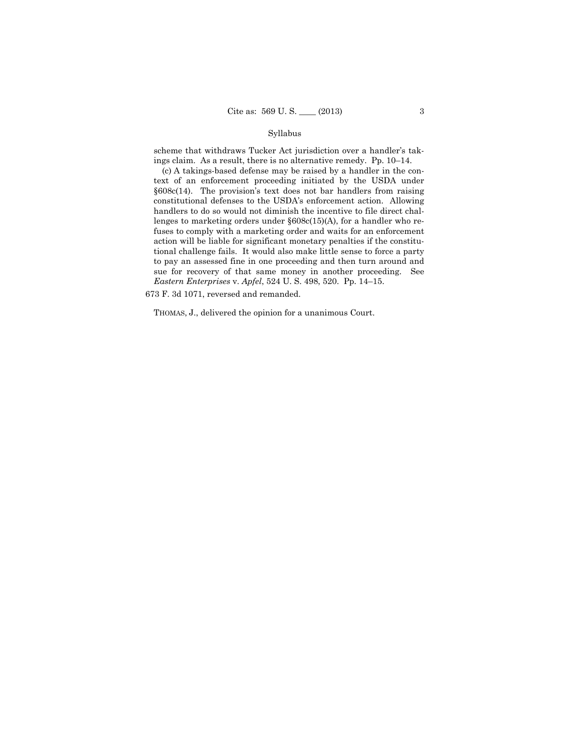### Syllabus

scheme that withdraws Tucker Act jurisdiction over a handler's takings claim. As a result, there is no alternative remedy. Pp. 10–14.

(c) A takings-based defense may be raised by a handler in the context of an enforcement proceeding initiated by the USDA under §608c(14). The provision's text does not bar handlers from raising constitutional defenses to the USDA's enforcement action. Allowing handlers to do so would not diminish the incentive to file direct challenges to marketing orders under §608c(15)(A), for a handler who refuses to comply with a marketing order and waits for an enforcement action will be liable for significant monetary penalties if the constitutional challenge fails. It would also make little sense to force a party to pay an assessed fine in one proceeding and then turn around and sue for recovery of that same money in another proceeding. See *Eastern Enterprises* v. *Apfel*, 524 U. S. 498, 520. Pp. 14–15.

673 F. 3d 1071, reversed and remanded.

THOMAS, J., delivered the opinion for a unanimous Court.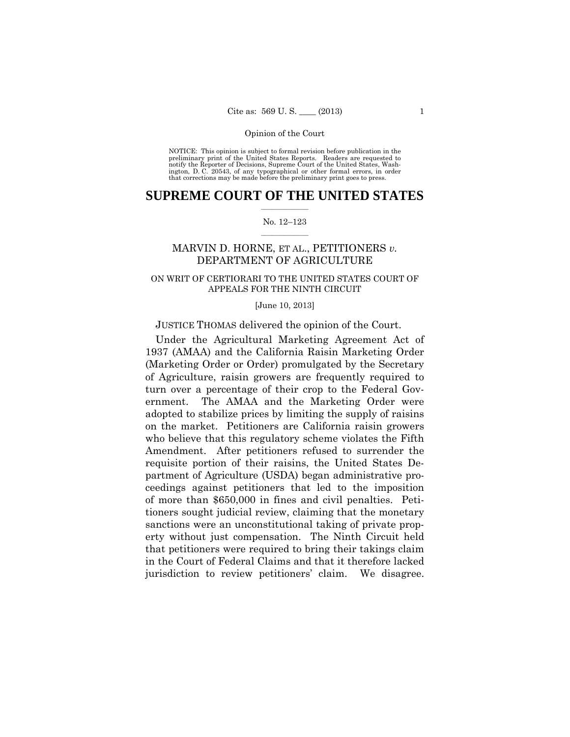preliminary print of the United States Reports. Readers are requested to notify the Reporter of Decisions, Supreme Court of the United States, Wash- ington, D. C. 20543, of any typographical or other formal errors, in order that corrections may be made before the preliminary print goes to press. NOTICE: This opinion is subject to formal revision before publication in the

# $\frac{1}{2}$  ,  $\frac{1}{2}$  ,  $\frac{1}{2}$  ,  $\frac{1}{2}$  ,  $\frac{1}{2}$  ,  $\frac{1}{2}$  ,  $\frac{1}{2}$ **SUPREME COURT OF THE UNITED STATES**

#### $\frac{1}{2}$  ,  $\frac{1}{2}$  ,  $\frac{1}{2}$  ,  $\frac{1}{2}$  ,  $\frac{1}{2}$  ,  $\frac{1}{2}$ No. 12–123

# MARVIN D. HORNE, ET AL., PETITIONERS *v.*  DEPARTMENT OF AGRICULTURE

# ON WRIT OF CERTIORARI TO THE UNITED STATES COURT OF APPEALS FOR THE NINTH CIRCUIT

#### [June 10, 2013]

# JUSTICE THOMAS delivered the opinion of the Court.

Under the Agricultural Marketing Agreement Act of 1937 (AMAA) and the California Raisin Marketing Order (Marketing Order or Order) promulgated by the Secretary of Agriculture, raisin growers are frequently required to turn over a percentage of their crop to the Federal Government. The AMAA and the Marketing Order were adopted to stabilize prices by limiting the supply of raisins on the market. Petitioners are California raisin growers who believe that this regulatory scheme violates the Fifth Amendment. After petitioners refused to surrender the requisite portion of their raisins, the United States Department of Agriculture (USDA) began administrative proceedings against petitioners that led to the imposition of more than \$650,000 in fines and civil penalties. Petitioners sought judicial review, claiming that the monetary sanctions were an unconstitutional taking of private property without just compensation. The Ninth Circuit held that petitioners were required to bring their takings claim in the Court of Federal Claims and that it therefore lacked jurisdiction to review petitioners' claim. We disagree.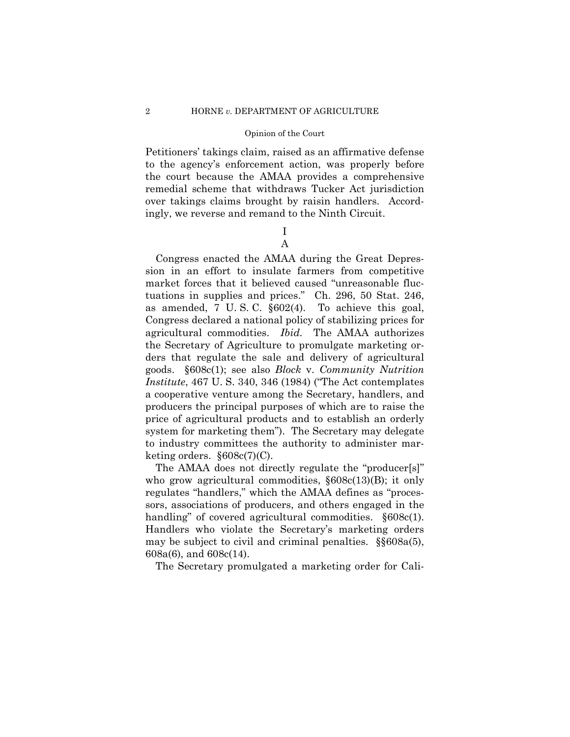Petitioners' takings claim, raised as an affirmative defense to the agency's enforcement action, was properly before the court because the AMAA provides a comprehensive remedial scheme that withdraws Tucker Act jurisdiction over takings claims brought by raisin handlers. Accordingly, we reverse and remand to the Ninth Circuit.

# I A

 agricultural commodities. *Ibid.* The AMAA authorizes Congress enacted the AMAA during the Great Depression in an effort to insulate farmers from competitive market forces that it believed caused "unreasonable fluctuations in supplies and prices." Ch. 296, 50 Stat. 246, as amended, 7 U. S. C. §602(4). To achieve this goal, Congress declared a national policy of stabilizing prices for the Secretary of Agriculture to promulgate marketing orders that regulate the sale and delivery of agricultural goods. §608c(1); see also *Block* v. *Community Nutrition Institute*, 467 U. S. 340, 346 (1984) ("The Act contemplates a cooperative venture among the Secretary, handlers, and producers the principal purposes of which are to raise the price of agricultural products and to establish an orderly system for marketing them"). The Secretary may delegate to industry committees the authority to administer marketing orders.  $§608c(7)(C)$ .

The AMAA does not directly regulate the "producer[s]" who grow agricultural commodities,  $\S 608c(13)(B)$ ; it only regulates "handlers," which the AMAA defines as "processors, associations of producers, and others engaged in the handling" of covered agricultural commodities.  $§608c(1)$ . Handlers who violate the Secretary's marketing orders may be subject to civil and criminal penalties. §§608a(5), 608a(6), and 608c(14).

The Secretary promulgated a marketing order for Cali-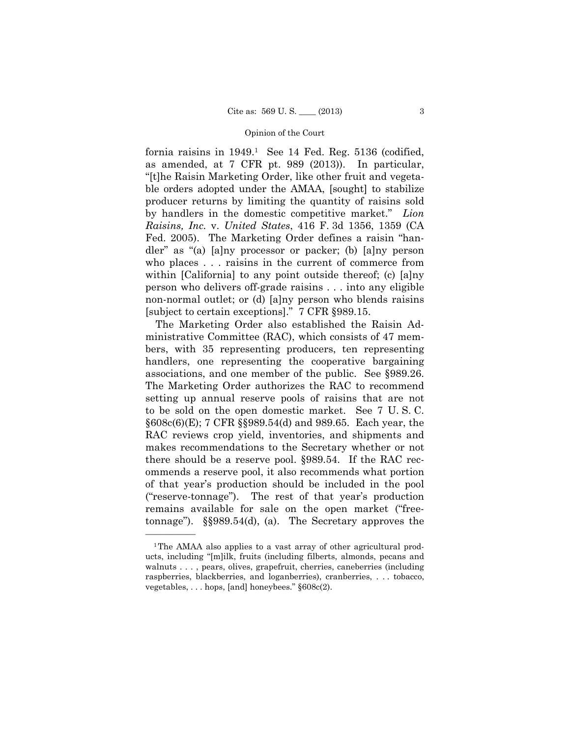fornia raisins in  $1949<sup>1</sup>$  See 14 Fed. Reg. 5136 (codified, as amended, at 7 CFR pt. 989 (2013)). In particular, "[t]he Raisin Marketing Order, like other fruit and vegetable orders adopted under the AMAA, [sought] to stabilize producer returns by limiting the quantity of raisins sold by handlers in the domestic competitive market." *Lion Raisins, Inc.* v. *United States*, 416 F. 3d 1356, 1359 (CA Fed. 2005). The Marketing Order defines a raisin "handler" as "(a) [a]ny processor or packer; (b) [a]ny person who places . . . raisins in the current of commerce from within [California] to any point outside thereof; (c) [a]ny person who delivers off-grade raisins . . . into any eligible non-normal outlet; or (d) [a]ny person who blends raisins [subject to certain exceptions]." 7 CFR §989.15.

The Marketing Order also established the Raisin Administrative Committee (RAC), which consists of 47 members, with 35 representing producers, ten representing handlers, one representing the cooperative bargaining associations, and one member of the public. See §989.26. The Marketing Order authorizes the RAC to recommend setting up annual reserve pools of raisins that are not to be sold on the open domestic market. See 7 U. S. C. §608c(6)(E); 7 CFR §§989.54(d) and 989.65. Each year, the RAC reviews crop yield, inventories, and shipments and makes recommendations to the Secretary whether or not there should be a reserve pool. §989.54. If the RAC recommends a reserve pool, it also recommends what portion of that year's production should be included in the pool ("reserve-tonnage"). The rest of that year's production remains available for sale on the open market ("freetonnage"). §§989.54(d), (a). The Secretary approves the

<sup>&</sup>lt;sup>1</sup>The AMAA also applies to a vast array of other agricultural products, including "[m]ilk, fruits (including filberts, almonds, pecans and walnuts . . . , pears, olives, grapefruit, cherries, caneberries (including raspberries, blackberries, and loganberries), cranberries, . . . tobacco, vegetables, . . . hops, [and] honeybees." §608c(2).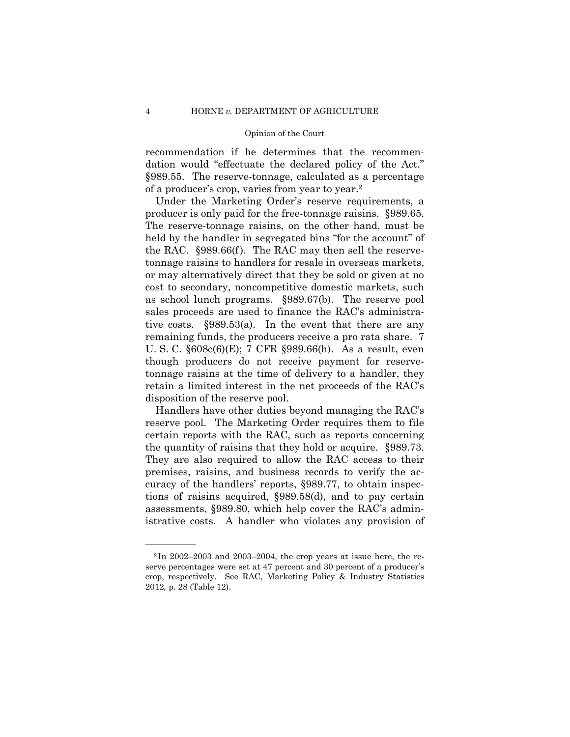recommendation if he determines that the recommendation would "effectuate the declared policy of the Act." §989.55. The reserve-tonnage, calculated as a percentage of a producer's crop, varies from year to year.2

as school lunch programs. §989.67(b). The reserve pool Under the Marketing Order's reserve requirements, a producer is only paid for the free-tonnage raisins. §989.65. The reserve-tonnage raisins, on the other hand, must be held by the handler in segregated bins "for the account" of the RAC. §989.66(f). The RAC may then sell the reservetonnage raisins to handlers for resale in overseas markets, or may alternatively direct that they be sold or given at no cost to secondary, noncompetitive domestic markets, such sales proceeds are used to finance the RAC's administrative costs. §989.53(a). In the event that there are any remaining funds, the producers receive a pro rata share. 7 U. S. C. §608c(6)(E); 7 CFR §989.66(h). As a result, even though producers do not receive payment for reservetonnage raisins at the time of delivery to a handler, they retain a limited interest in the net proceeds of the RAC's disposition of the reserve pool.

Handlers have other duties beyond managing the RAC's reserve pool. The Marketing Order requires them to file certain reports with the RAC, such as reports concerning the quantity of raisins that they hold or acquire. §989.73. They are also required to allow the RAC access to their premises, raisins, and business records to verify the accuracy of the handlers' reports, §989.77, to obtain inspections of raisins acquired, §989.58(d), and to pay certain assessments, §989.80, which help cover the RAC's administrative costs. A handler who violates any provision of

 $2$ In 2002–2003 and 2003–2004, the crop years at issue here, the reserve percentages were set at 47 percent and 30 percent of a producer's crop, respectively. See RAC, Marketing Policy & Industry Statistics 2012*,* p. 28 (Table 12).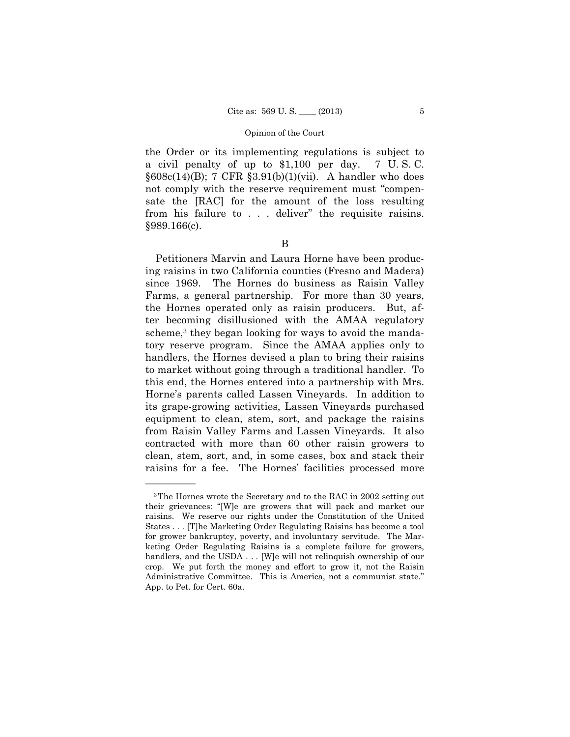the Order or its implementing regulations is subject to a civil penalty of up to \$1,100 per day. 7 U. S. C.  $§608c(14)$ (B); 7 CFR  $§3.91(b)(1)(vi)$ . A handler who does not comply with the reserve requirement must "compensate the [RAC] for the amount of the loss resulting from his failure to . . . deliver" the requisite raisins. §989.166(c).

B

Petitioners Marvin and Laura Horne have been producing raisins in two California counties (Fresno and Madera) since 1969. The Hornes do business as Raisin Valley Farms, a general partnership. For more than 30 years, the Hornes operated only as raisin producers. But, after becoming disillusioned with the AMAA regulatory scheme,<sup>3</sup> they began looking for ways to avoid the mandatory reserve program. Since the AMAA applies only to handlers, the Hornes devised a plan to bring their raisins to market without going through a traditional handler. To this end, the Hornes entered into a partnership with Mrs. Horne's parents called Lassen Vineyards. In addition to its grape-growing activities, Lassen Vineyards purchased equipment to clean, stem, sort, and package the raisins from Raisin Valley Farms and Lassen Vineyards. It also contracted with more than 60 other raisin growers to clean, stem, sort, and, in some cases, box and stack their raisins for a fee. The Hornes' facilities processed more

<sup>3</sup>The Hornes wrote the Secretary and to the RAC in 2002 setting out their grievances: "[W]e are growers that will pack and market our raisins. We reserve our rights under the Constitution of the United States . . . [T]he Marketing Order Regulating Raisins has become a tool for grower bankruptcy, poverty, and involuntary servitude. The Marketing Order Regulating Raisins is a complete failure for growers, handlers, and the USDA . . . [W]e will not relinquish ownership of our crop. We put forth the money and effort to grow it, not the Raisin Administrative Committee. This is America, not a communist state." App. to Pet. for Cert. 60a.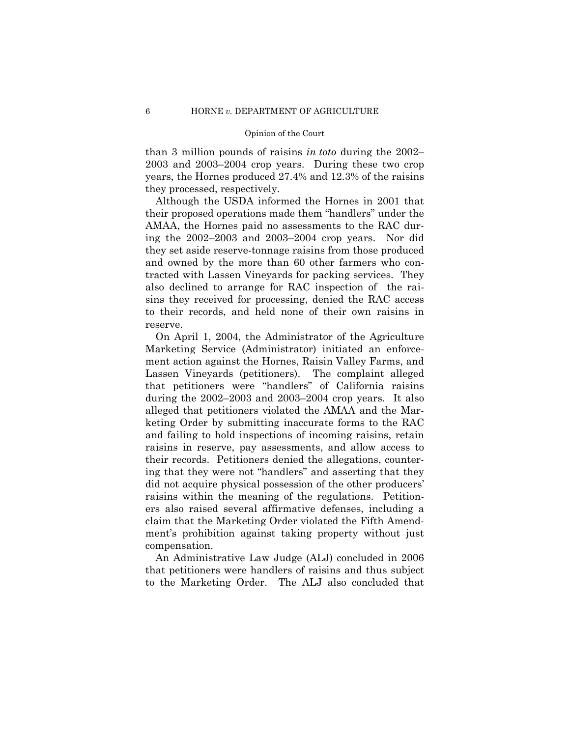than 3 million pounds of raisins *in toto* during the 2002– 2003 and 2003–2004 crop years. During these two crop years, the Hornes produced 27.4% and 12.3% of the raisins they processed, respectively.

Although the USDA informed the Hornes in 2001 that their proposed operations made them "handlers" under the AMAA, the Hornes paid no assessments to the RAC during the 2002–2003 and 2003–2004 crop years. Nor did they set aside reserve-tonnage raisins from those produced and owned by the more than 60 other farmers who contracted with Lassen Vineyards for packing services. They also declined to arrange for RAC inspection of the raisins they received for processing, denied the RAC access to their records, and held none of their own raisins in reserve.

On April 1, 2004, the Administrator of the Agriculture Marketing Service (Administrator) initiated an enforcement action against the Hornes, Raisin Valley Farms, and Lassen Vineyards (petitioners). The complaint alleged that petitioners were "handlers" of California raisins during the 2002–2003 and 2003–2004 crop years. It also alleged that petitioners violated the AMAA and the Marketing Order by submitting inaccurate forms to the RAC and failing to hold inspections of incoming raisins, retain raisins in reserve, pay assessments, and allow access to their records. Petitioners denied the allegations, countering that they were not "handlers" and asserting that they did not acquire physical possession of the other producers' raisins within the meaning of the regulations. Petitioners also raised several affirmative defenses, including a claim that the Marketing Order violated the Fifth Amendment's prohibition against taking property without just compensation.

An Administrative Law Judge (ALJ) concluded in 2006 that petitioners were handlers of raisins and thus subject to the Marketing Order. The ALJ also concluded that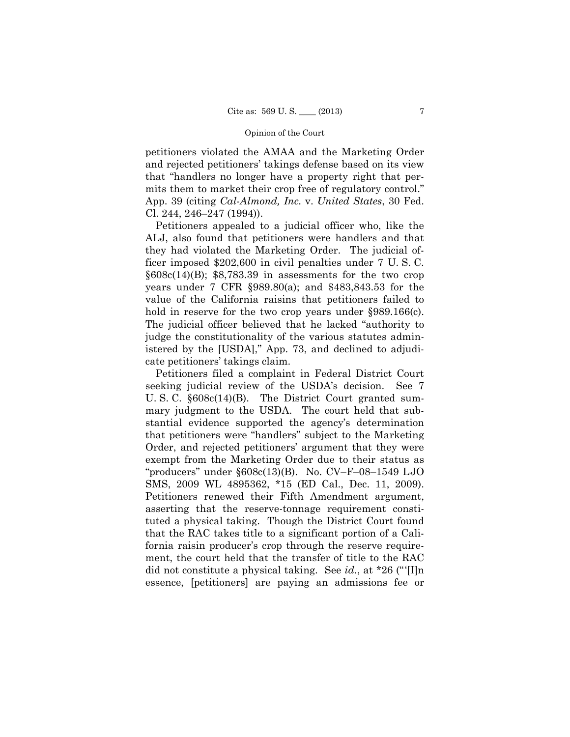petitioners violated the AMAA and the Marketing Order and rejected petitioners' takings defense based on its view that "handlers no longer have a property right that permits them to market their crop free of regulatory control." App. 39 (citing *Cal-Almond, Inc.* v. *United States*, 30 Fed. Cl. 244, 246–247 (1994)).

Petitioners appealed to a judicial officer who, like the ALJ, also found that petitioners were handlers and that they had violated the Marketing Order. The judicial officer imposed \$202,600 in civil penalties under 7 U. S. C.  $§608c(14)$ (B); \$8,783.39 in assessments for the two crop years under 7 CFR §989.80(a); and \$483,843.53 for the value of the California raisins that petitioners failed to hold in reserve for the two crop years under §989.166(c). The judicial officer believed that he lacked "authority to judge the constitutionality of the various statutes administered by the [USDA]," App. 73, and declined to adjudicate petitioners' takings claim.

Petitioners filed a complaint in Federal District Court seeking judicial review of the USDA's decision. See 7 U. S. C. §608c(14)(B). The District Court granted summary judgment to the USDA. The court held that substantial evidence supported the agency's determination that petitioners were "handlers" subject to the Marketing Order, and rejected petitioners' argument that they were exempt from the Marketing Order due to their status as "producers" under §608c(13)(B). No. CV–F–08–1549 LJO SMS, 2009 WL 4895362, \*15 (ED Cal., Dec. 11, 2009). Petitioners renewed their Fifth Amendment argument, asserting that the reserve-tonnage requirement constituted a physical taking. Though the District Court found that the RAC takes title to a significant portion of a California raisin producer's crop through the reserve requirement, the court held that the transfer of title to the RAC did not constitute a physical taking. See *id.*, at \*26 ("'[I]n essence, [petitioners] are paying an admissions fee or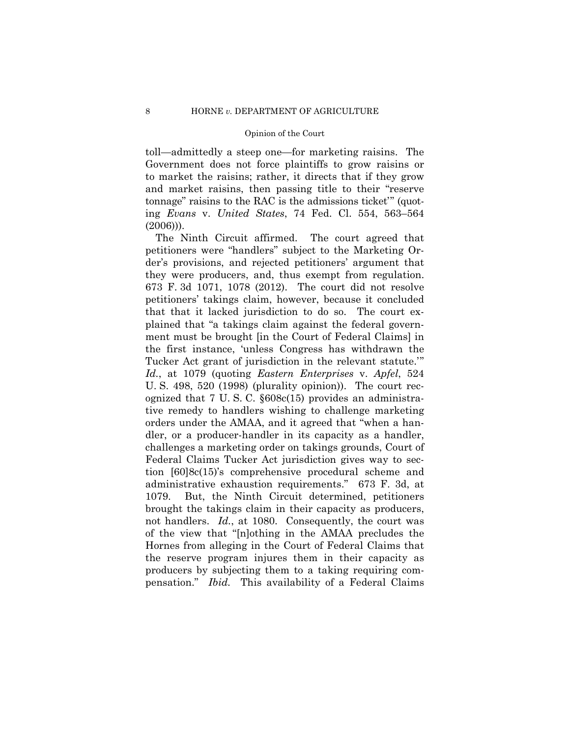toll—admittedly a steep one—for marketing raisins. The Government does not force plaintiffs to grow raisins or to market the raisins; rather, it directs that if they grow and market raisins, then passing title to their "reserve tonnage" raisins to the RAC is the admissions ticket'" (quoting *Evans* v. *United States*, 74 Fed. Cl. 554, 563–564 (2006))).

 they were producers, and, thus exempt from regulation. The Ninth Circuit affirmed. The court agreed that petitioners were "handlers" subject to the Marketing Order's provisions, and rejected petitioners' argument that 673 F. 3d 1071, 1078 (2012). The court did not resolve petitioners' takings claim, however, because it concluded that that it lacked jurisdiction to do so. The court explained that "a takings claim against the federal government must be brought [in the Court of Federal Claims] in the first instance, 'unless Congress has withdrawn the Tucker Act grant of jurisdiction in the relevant statute.'" *Id.*, at 1079 (quoting *Eastern Enterprises* v. *Apfel*, 524 U. S. 498, 520 (1998) (plurality opinion)). The court recognized that 7 U. S. C. §608c(15) provides an administrative remedy to handlers wishing to challenge marketing orders under the AMAA, and it agreed that "when a handler, or a producer-handler in its capacity as a handler, challenges a marketing order on takings grounds, Court of Federal Claims Tucker Act jurisdiction gives way to section [60]8c(15)'s comprehensive procedural scheme and administrative exhaustion requirements." 673 F. 3d, at 1079. But, the Ninth Circuit determined, petitioners brought the takings claim in their capacity as producers, not handlers. *Id.*, at 1080. Consequently, the court was of the view that "[n]othing in the AMAA precludes the Hornes from alleging in the Court of Federal Claims that the reserve program injures them in their capacity as producers by subjecting them to a taking requiring compensation." *Ibid.* This availability of a Federal Claims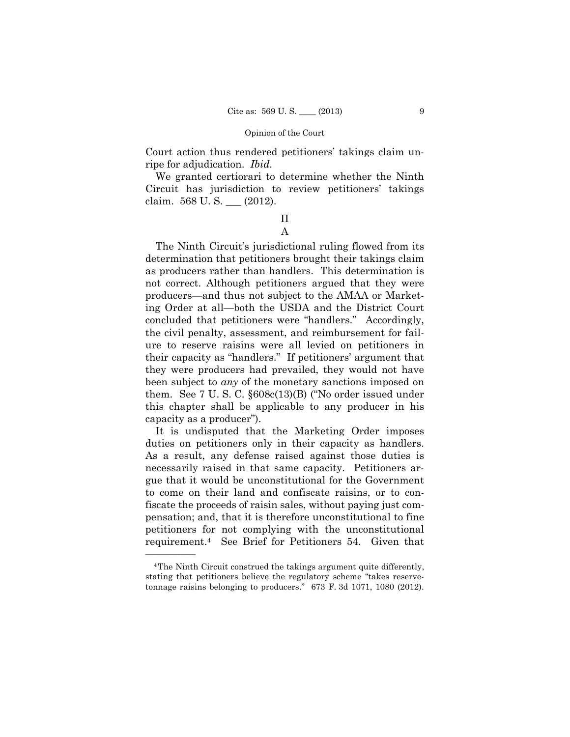Court action thus rendered petitioners' takings claim unripe for adjudication. *Ibid.* 

We granted certiorari to determine whether the Ninth Circuit has jurisdiction to review petitioners' takings claim. 568 U. S. \_\_\_ (2012).

# II A

The Ninth Circuit's jurisdictional ruling flowed from its determination that petitioners brought their takings claim as producers rather than handlers. This determination is not correct. Although petitioners argued that they were producers—and thus not subject to the AMAA or Marketing Order at all—both the USDA and the District Court concluded that petitioners were "handlers." Accordingly, the civil penalty, assessment, and reimbursement for failure to reserve raisins were all levied on petitioners in their capacity as "handlers." If petitioners' argument that they were producers had prevailed, they would not have been subject to *any* of the monetary sanctions imposed on them. See 7 U. S. C. §608c(13)(B) ("No order issued under this chapter shall be applicable to any producer in his capacity as a producer").

It is undisputed that the Marketing Order imposes duties on petitioners only in their capacity as handlers. As a result, any defense raised against those duties is necessarily raised in that same capacity. Petitioners argue that it would be unconstitutional for the Government to come on their land and confiscate raisins, or to confiscate the proceeds of raisin sales, without paying just compensation; and, that it is therefore unconstitutional to fine petitioners for not complying with the unconstitutional requirement.4 See Brief for Petitioners 54. Given that

 tonnage raisins belonging to producers." 673 F. 3d 1071, 1080 (2012). 4The Ninth Circuit construed the takings argument quite differently, stating that petitioners believe the regulatory scheme "takes reserve-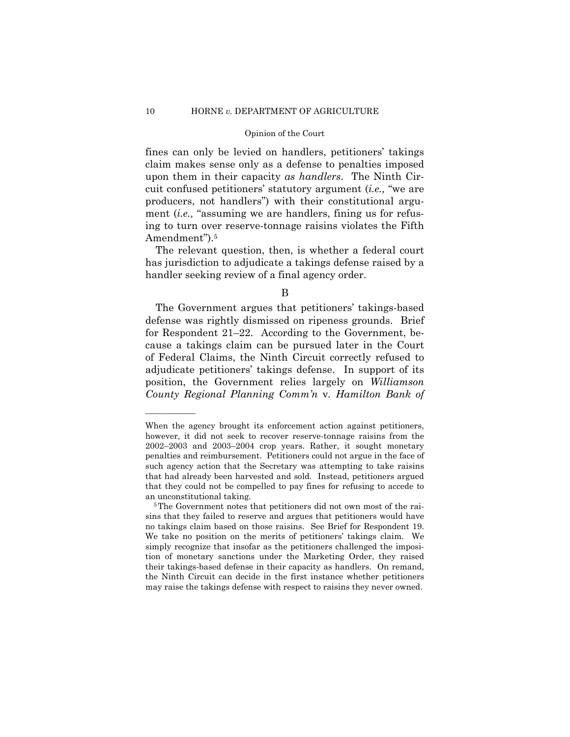fines can only be levied on handlers, petitioners' takings claim makes sense only as a defense to penalties imposed upon them in their capacity *as handlers*. The Ninth Circuit confused petitioners' statutory argument (*i.e.,* "we are producers, not handlers") with their constitutional argument *(i.e.,* "assuming we are handlers, fining us for refusing to turn over reserve-tonnage raisins violates the Fifth Amendment").<sup>5</sup>

The relevant question, then, is whether a federal court has jurisdiction to adjudicate a takings defense raised by a handler seeking review of a final agency order.

The Government argues that petitioners' takings-based defense was rightly dismissed on ripeness grounds. Brief for Respondent 21–22. According to the Government, because a takings claim can be pursued later in the Court of Federal Claims, the Ninth Circuit correctly refused to adjudicate petitioners' takings defense. In support of its position, the Government relies largely on *Williamson County Regional Planning Comm'n* v*. Hamilton Bank of* 

B

When the agency brought its enforcement action against petitioners, however, it did not seek to recover reserve-tonnage raisins from the 2002–2003 and 2003–2004 crop years. Rather, it sought monetary penalties and reimbursement. Petitioners could not argue in the face of such agency action that the Secretary was attempting to take raisins that had already been harvested and sold. Instead, petitioners argued that they could not be compelled to pay fines for refusing to accede to an unconstitutional taking.<br><sup>5</sup>The Government notes that petitioners did not own most of the rai-

 no takings claim based on those raisins. See Brief for Respondent 19. sins that they failed to reserve and argues that petitioners would have We take no position on the merits of petitioners' takings claim. We simply recognize that insofar as the petitioners challenged the imposition of monetary sanctions under the Marketing Order, they raised their takings-based defense in their capacity as handlers. On remand, the Ninth Circuit can decide in the first instance whether petitioners may raise the takings defense with respect to raisins they never owned.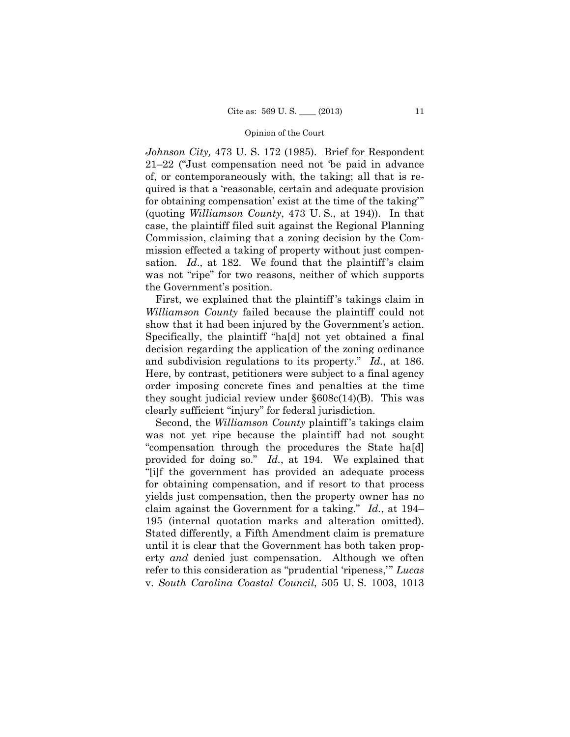*Johnson City,* 473 U. S. 172 (1985). Brief for Respondent 21–22 ("Just compensation need not 'be paid in advance of, or contemporaneously with, the taking; all that is required is that a 'reasonable, certain and adequate provision for obtaining compensation' exist at the time of the taking'" (quoting *Williamson County*, 473 U. S., at 194)). In that case, the plaintiff filed suit against the Regional Planning Commission, claiming that a zoning decision by the Commission effected a taking of property without just compensation. *Id.*, at 182. We found that the plaintiff's claim was not "ripe" for two reasons, neither of which supports the Government's position.

 show that it had been injured by the Government's action. First, we explained that the plaintiff 's takings claim in *Williamson County* failed because the plaintiff could not Specifically, the plaintiff "ha[d] not yet obtained a final decision regarding the application of the zoning ordinance and subdivision regulations to its property." *Id.*, at 186. Here, by contrast, petitioners were subject to a final agency order imposing concrete fines and penalties at the time they sought judicial review under  $§608c(14)(B)$ . This was clearly sufficient "injury" for federal jurisdiction.

 claim against the Government for a taking." *Id.*, at 194– Second, the *Williamson County* plaintiff 's takings claim was not yet ripe because the plaintiff had not sought "compensation through the procedures the State ha[d] provided for doing so." *Id.*, at 194. We explained that "[i]f the government has provided an adequate process for obtaining compensation, and if resort to that process yields just compensation, then the property owner has no 195 (internal quotation marks and alteration omitted). Stated differently, a Fifth Amendment claim is premature until it is clear that the Government has both taken property *and* denied just compensation. Although we often refer to this consideration as "prudential 'ripeness,'" *Lucas*  v. *South Carolina Coastal Council*, 505 U. S. 1003, 1013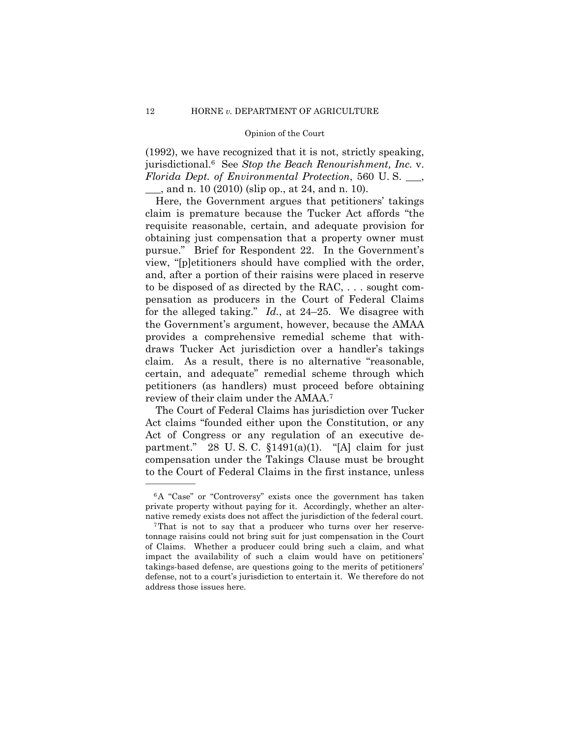(1992), we have recognized that it is not, strictly speaking, jurisdictional.6 See *Stop the Beach Renourishment, Inc.* v. *Florida Dept. of Environmental Protection*, 560 U. S. \_\_\_,

\_\_\_, and n. 10 (2010) (slip op., at 24, and n. 10).

 for the alleged taking." *Id.*, at 24–25. We disagree with Here, the Government argues that petitioners' takings claim is premature because the Tucker Act affords "the requisite reasonable, certain, and adequate provision for obtaining just compensation that a property owner must pursue." Brief for Respondent 22. In the Government's view, "[p]etitioners should have complied with the order, and, after a portion of their raisins were placed in reserve to be disposed of as directed by the RAC, . . . sought compensation as producers in the Court of Federal Claims the Government's argument, however, because the AMAA provides a comprehensive remedial scheme that withdraws Tucker Act jurisdiction over a handler's takings claim. As a result, there is no alternative "reasonable, certain, and adequate" remedial scheme through which petitioners (as handlers) must proceed before obtaining review of their claim under the AMAA.7

The Court of Federal Claims has jurisdiction over Tucker Act claims "founded either upon the Constitution, or any Act of Congress or any regulation of an executive department." 28 U.S.C.  $$1491(a)(1)$ . "[A] claim for just compensation under the Takings Clause must be brought to the Court of Federal Claims in the first instance, unless

<sup>6</sup>A "Case" or "Controversy" exists once the government has taken private property without paying for it. Accordingly, whether an alter-

native remedy exists does not affect the jurisdiction of the federal court. 7That is not to say that a producer who turns over her reservetonnage raisins could not bring suit for just compensation in the Court of Claims. Whether a producer could bring such a claim, and what impact the availability of such a claim would have on petitioners' takings-based defense, are questions going to the merits of petitioners' defense, not to a court's jurisdiction to entertain it. We therefore do not address those issues here.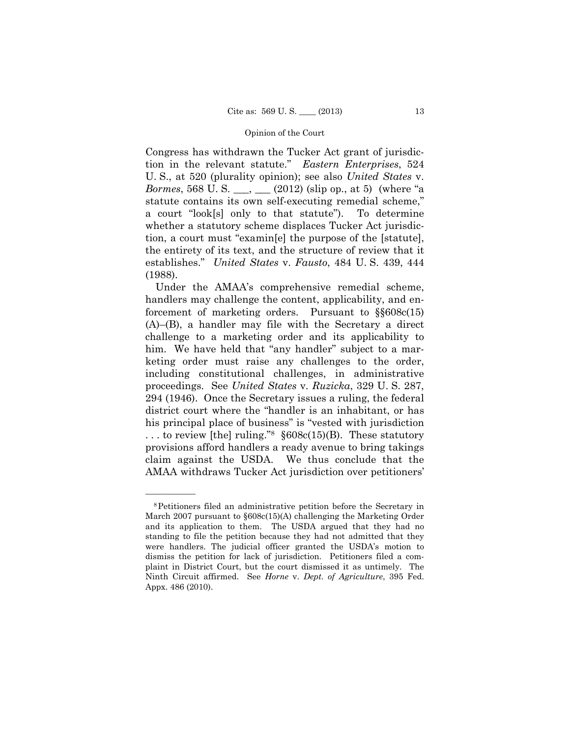Congress has withdrawn the Tucker Act grant of jurisdiction in the relevant statute." *Eastern Enterprises*, 524 U. S., at 520 (plurality opinion); see also *United States* v. *Bormes*, 568 U. S. \_\_, \_\_ (2012) (slip op., at 5) (where "a statute contains its own self-executing remedial scheme," a court "look[s] only to that statute"). To determine whether a statutory scheme displaces Tucker Act jurisdiction, a court must "examin[e] the purpose of the [statute], the entirety of its text, and the structure of review that it establishes." *United States* v. *Fausto*, 484 U. S. 439, 444 (1988).

 challenge to a marketing order and its applicability to Under the AMAA's comprehensive remedial scheme, handlers may challenge the content, applicability, and enforcement of marketing orders. Pursuant to §§608c(15) (A)–(B), a handler may file with the Secretary a direct him. We have held that "any handler" subject to a marketing order must raise any challenges to the order, including constitutional challenges, in administrative proceedings. See *United States* v. *Ruzicka*, 329 U. S. 287, 294 (1946). Once the Secretary issues a ruling, the federal district court where the "handler is an inhabitant, or has his principal place of business" is "vested with jurisdiction ... to review [the] ruling." $8608c(15)$ (B). These statutory provisions afford handlers a ready avenue to bring takings claim against the USDA. We thus conclude that the AMAA withdraws Tucker Act jurisdiction over petitioners'

<sup>8</sup>Petitioners filed an administrative petition before the Secretary in March 2007 pursuant to §608c(15)(A) challenging the Marketing Order and its application to them. The USDA argued that they had no standing to file the petition because they had not admitted that they were handlers. The judicial officer granted the USDA's motion to dismiss the petition for lack of jurisdiction. Petitioners filed a complaint in District Court, but the court dismissed it as untimely. The Ninth Circuit affirmed. See *Horne* v. *Dept. of Agriculture*, 395 Fed. Appx. 486 (2010).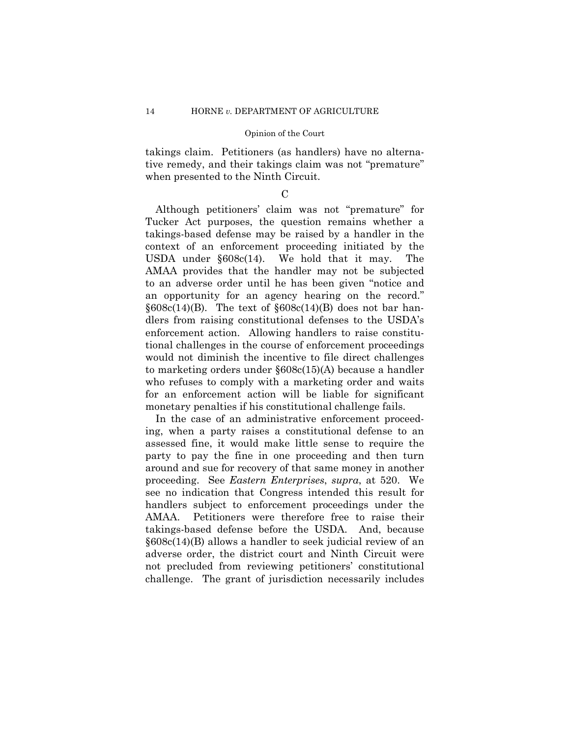takings claim. Petitioners (as handlers) have no alternative remedy, and their takings claim was not "premature" when presented to the Ninth Circuit.

 $\mathcal{C}$ 

The Although petitioners' claim was not "premature" for Tucker Act purposes, the question remains whether a takings-based defense may be raised by a handler in the context of an enforcement proceeding initiated by the USDA under §608c(14). We hold that it may. The AMAA provides that the handler may not be subjected to an adverse order until he has been given "notice and an opportunity for an agency hearing on the record."  $$608c(14)$ (B). The text of  $$608c(14)$ (B) does not bar handlers from raising constitutional defenses to the USDA's enforcement action. Allowing handlers to raise constitutional challenges in the course of enforcement proceedings would not diminish the incentive to file direct challenges to marketing orders under §608c(15)(A) because a handler who refuses to comply with a marketing order and waits for an enforcement action will be liable for significant monetary penalties if his constitutional challenge fails.

In the case of an administrative enforcement proceeding, when a party raises a constitutional defense to an assessed fine, it would make little sense to require the party to pay the fine in one proceeding and then turn around and sue for recovery of that same money in another proceeding. See *Eastern Enterprises*, *supra*, at 520. We see no indication that Congress intended this result for handlers subject to enforcement proceedings under the AMAA. Petitioners were therefore free to raise their takings-based defense before the USDA. And, because §608c(14)(B) allows a handler to seek judicial review of an adverse order, the district court and Ninth Circuit were not precluded from reviewing petitioners' constitutional challenge. The grant of jurisdiction necessarily includes